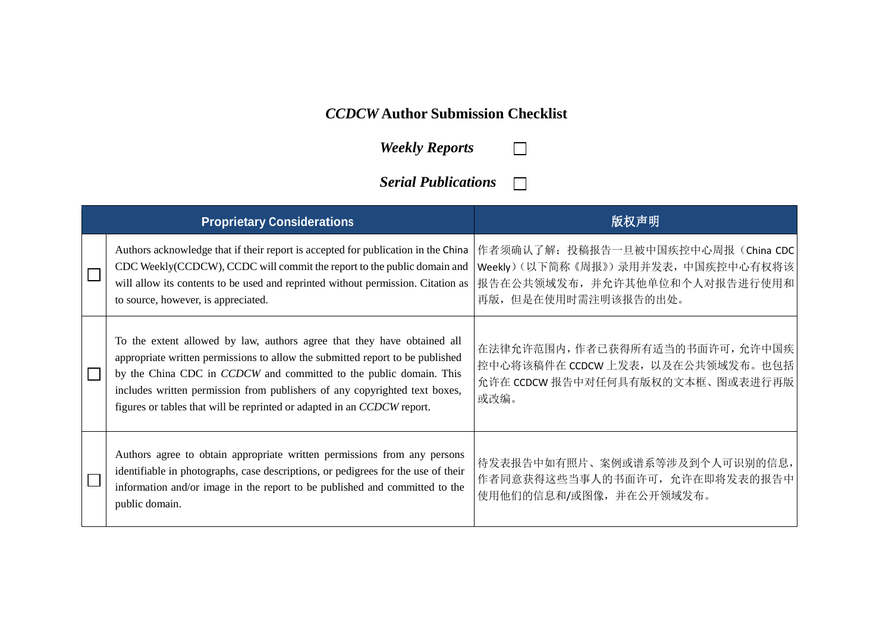## *CCDCW* **Author Submission Checklist**

*Weekly Reports*

*Serial Publications*  $\Box$ 

 $\Box$ 

|  | <b>Proprietary Considerations</b>                                                                                                                                                                                                                                                                                                                                                       | 版权声明                                                                                                                             |
|--|-----------------------------------------------------------------------------------------------------------------------------------------------------------------------------------------------------------------------------------------------------------------------------------------------------------------------------------------------------------------------------------------|----------------------------------------------------------------------------------------------------------------------------------|
|  | Authors acknowledge that if their report is accepted for publication in the China<br>CDC Weekly(CCDCW), CCDC will commit the report to the public domain and<br>will allow its contents to be used and reprinted without permission. Citation as<br>to source, however, is appreciated.                                                                                                 | 作者须确认了解: 投稿报告一旦被中国疾控中心周报(China CDC<br>Weekly)(以下简称《周报》)录用并发表,中国疾控中心有权将该<br>报告在公共领域发布, 并允许其他单位和个人对报告进行使用和<br>再版, 但是在使用时需注明该报告的出处。 |
|  | To the extent allowed by law, authors agree that they have obtained all<br>appropriate written permissions to allow the submitted report to be published<br>by the China CDC in CCDCW and committed to the public domain. This<br>includes written permission from publishers of any copyrighted text boxes,<br>figures or tables that will be reprinted or adapted in an CCDCW report. | 在法律允许范围内,作者已获得所有适当的书面许可,允许中国疾<br>控中心将该稿件在 CCDCW 上发表, 以及在公共领域发布。也包括<br>允许在 CCDCW 报告中对任何具有版权的文本框、图或表进行再版<br>或改编。                   |
|  | Authors agree to obtain appropriate written permissions from any persons<br>identifiable in photographs, case descriptions, or pedigrees for the use of their<br>information and/or image in the report to be published and committed to the<br>public domain.                                                                                                                          | 待发表报告中如有照片、案例或谱系等涉及到个人可识别的信息,<br>作者同意获得这些当事人的书面许可, 允许在即将发表的报告中<br>使用他们的信息和/或图像, 并在公开领域发布。                                        |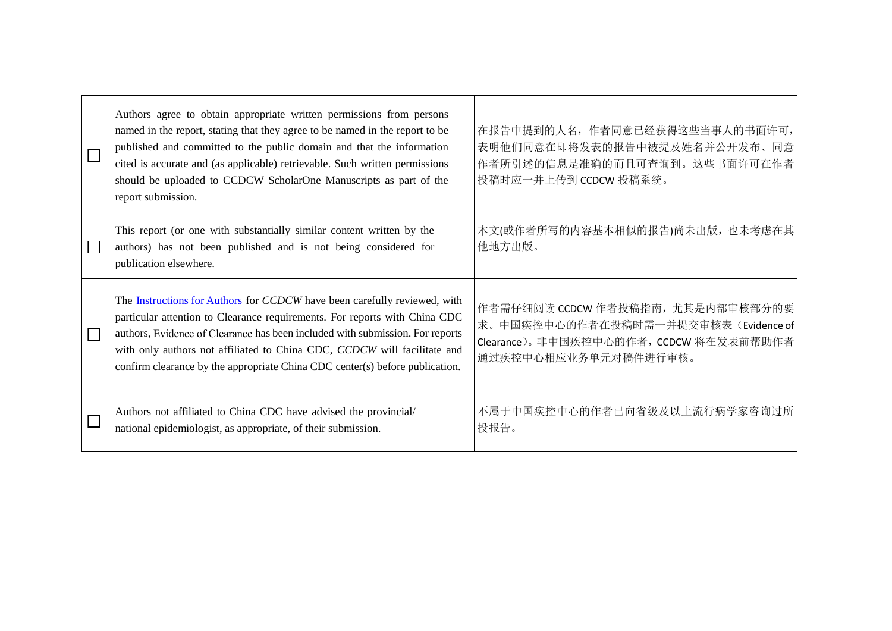| Authors agree to obtain appropriate written permissions from persons<br>named in the report, stating that they agree to be named in the report to be<br>published and committed to the public domain and that the information<br>cited is accurate and (as applicable) retrievable. Such written permissions<br>should be uploaded to CCDCW ScholarOne Manuscripts as part of the<br>report submission. | 在报告中提到的人名,作者同意已经获得这些当事人的书面许可,<br>表明他们同意在即将发表的报告中被提及姓名并公开发布、同意<br>作者所引述的信息是准确的而且可查询到。这些书面许可在作者<br>投稿时应一并上传到 CCDCW 投稿系统。                     |
|---------------------------------------------------------------------------------------------------------------------------------------------------------------------------------------------------------------------------------------------------------------------------------------------------------------------------------------------------------------------------------------------------------|--------------------------------------------------------------------------------------------------------------------------------------------|
| This report (or one with substantially similar content written by the<br>authors) has not been published and is not being considered for<br>publication elsewhere.                                                                                                                                                                                                                                      | 本文(或作者所写的内容基本相似的报告)尚未出版,也未考虑在其<br>他地方出版。                                                                                                   |
| The Instructions for Authors for CCDCW have been carefully reviewed, with<br>particular attention to Clearance requirements. For reports with China CDC<br>authors, Evidence of Clearance has been included with submission. For reports<br>with only authors not affiliated to China CDC, CCDCW will facilitate and<br>confirm clearance by the appropriate China CDC center(s) before publication.    | 作者需仔细阅读 CCDCW 作者投稿指南, 尤其是内部审核部分的要<br>求。中国疾控中心的作者在投稿时需一并提交审核表(Evidence of<br>Clearance)。非中国疾控中心的作者, CCDCW 将在发表前帮助作者<br>通过疾控中心相应业务单元对稿件进行审核。 |
| Authors not affiliated to China CDC have advised the provincial/<br>national epidemiologist, as appropriate, of their submission.                                                                                                                                                                                                                                                                       | 不属于中国疾控中心的作者已向省级及以上流行病学家咨询过所<br>投报告。                                                                                                       |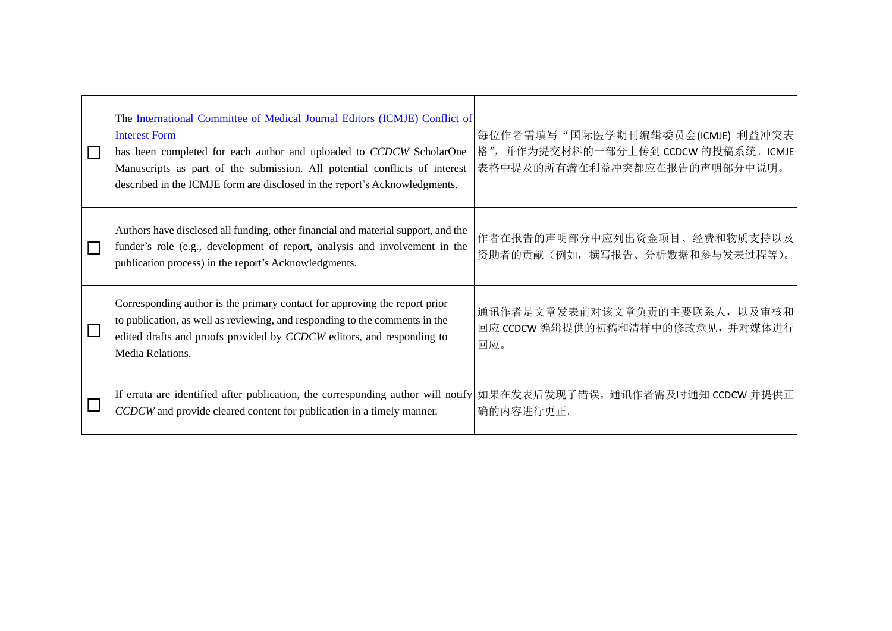|  | The International Committee of Medical Journal Editors (ICMJE) Conflict of<br><b>Interest Form</b><br>has been completed for each author and uploaded to CCDCW ScholarOne<br>Manuscripts as part of the submission. All potential conflicts of interest<br>described in the ICMJE form are disclosed in the report's Acknowledgments. | 每位作者需填写"国际医学期刊编辑委员会(ICMJE) 利益冲突表<br>格",并作为提交材料的一部分上传到 CCDCW 的投稿系统。ICMJE<br>表格中提及的所有潜在利益冲突都应在报告的声明部分中说明。 |
|--|---------------------------------------------------------------------------------------------------------------------------------------------------------------------------------------------------------------------------------------------------------------------------------------------------------------------------------------|---------------------------------------------------------------------------------------------------------|
|  | Authors have disclosed all funding, other financial and material support, and the<br>funder's role (e.g., development of report, analysis and involvement in the<br>publication process) in the report's Acknowledgments.                                                                                                             | 作者在报告的声明部分中应列出资金项目、经费和物质支持以及<br>资助者的贡献(例如,撰写报告、分析数据和参与发表过程等)。                                           |
|  | Corresponding author is the primary contact for approving the report prior<br>to publication, as well as reviewing, and responding to the comments in the<br>edited drafts and proofs provided by CCDCW editors, and responding to<br>Media Relations.                                                                                | 通讯作者是文章发表前对该文章负责的主要联系人, 以及审核和<br>回应 CCDCW 编辑提供的初稿和清样中的修改意见, 并对媒体进行<br>回应。                               |
|  | If errata are identified after publication, the corresponding author will notify<br>CCDCW and provide cleared content for publication in a timely manner.                                                                                                                                                                             | 如果在发表后发现了错误, 通讯作者需及时通知 CCDCW 并提供正<br>确的内容进行更正。                                                          |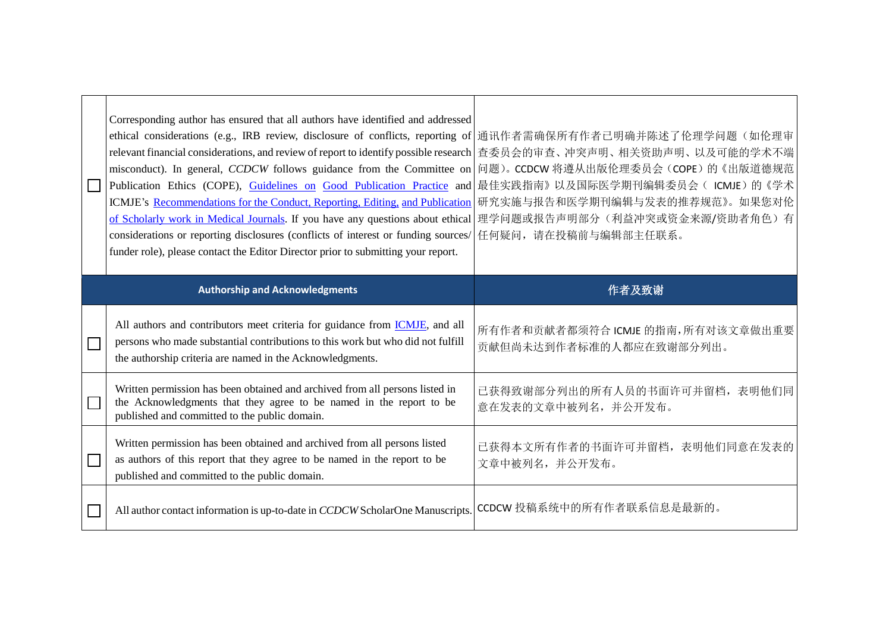|  | Corresponding author has ensured that all authors have identified and addressed<br>ethical considerations (e.g., IRB review, disclosure of conflicts, reporting of<br>relevant financial considerations, and review of report to identify possible research<br>misconduct). In general, CCDCW follows guidance from the Committee on<br>Publication Ethics (COPE), Guidelines on Good Publication Practice and 最佳实践指南》以及国际医学期刊编辑委员会(ICMJE)的《学术<br>ICMJE's Recommendations for the Conduct, Reporting, Editing, and Publication<br>of Scholarly work in Medical Journals. If you have any questions about ethical<br>considerations or reporting disclosures (conflicts of interest or funding sources/<br>funder role), please contact the Editor Director prior to submitting your report. | 通讯作者需确保所有作者已明确并陈述了伦理学问题(如伦理审<br>查委员会的审查、冲突声明、相关资助声明、以及可能的学术不端<br>问题)。CCDCW 将遵从出版伦理委员会(COPE)的《出版道德规范<br>研究实施与报告和医学期刊编辑与发表的推荐规范》。如果您对伦<br>理学问题或报告声明部分(利益冲突或资金来源/资助者角色)有<br>任何疑问, 请在投稿前与编辑部主任联系。 |
|--|---------------------------------------------------------------------------------------------------------------------------------------------------------------------------------------------------------------------------------------------------------------------------------------------------------------------------------------------------------------------------------------------------------------------------------------------------------------------------------------------------------------------------------------------------------------------------------------------------------------------------------------------------------------------------------------------------------------------------------------------------------------------------------------------|-----------------------------------------------------------------------------------------------------------------------------------------------------------------------------------------------|
|  | <b>Authorship and Acknowledgments</b>                                                                                                                                                                                                                                                                                                                                                                                                                                                                                                                                                                                                                                                                                                                                                       | 作者及致谢                                                                                                                                                                                         |
|  | All authors and contributors meet criteria for guidance from <i>ICMJE</i> , and all<br>persons who made substantial contributions to this work but who did not fulfill<br>the authorship criteria are named in the Acknowledgments.                                                                                                                                                                                                                                                                                                                                                                                                                                                                                                                                                         | 所有作者和贡献者都须符合 ICMJE 的指南,所有对该文章做出重要<br>贡献但尚未达到作者标准的人都应在致谢部分列出。                                                                                                                                  |
|  | Written permission has been obtained and archived from all persons listed in<br>the Acknowledgments that they agree to be named in the report to be<br>published and committed to the public domain.                                                                                                                                                                                                                                                                                                                                                                                                                                                                                                                                                                                        | 己获得致谢部分列出的所有人员的书面许可并留档,表明他们同<br>意在发表的文章中被列名,并公开发布。                                                                                                                                            |
|  | Written permission has been obtained and archived from all persons listed<br>as authors of this report that they agree to be named in the report to be<br>published and committed to the public domain.                                                                                                                                                                                                                                                                                                                                                                                                                                                                                                                                                                                     | 已获得本文所有作者的书面许可并留档,表明他们同意在发表的<br>文章中被列名,并公开发布。                                                                                                                                                 |
|  |                                                                                                                                                                                                                                                                                                                                                                                                                                                                                                                                                                                                                                                                                                                                                                                             | CCDCW 投稿系统中的所有作者联系信息是最新的。                                                                                                                                                                     |

 $\overline{\phantom{0}}$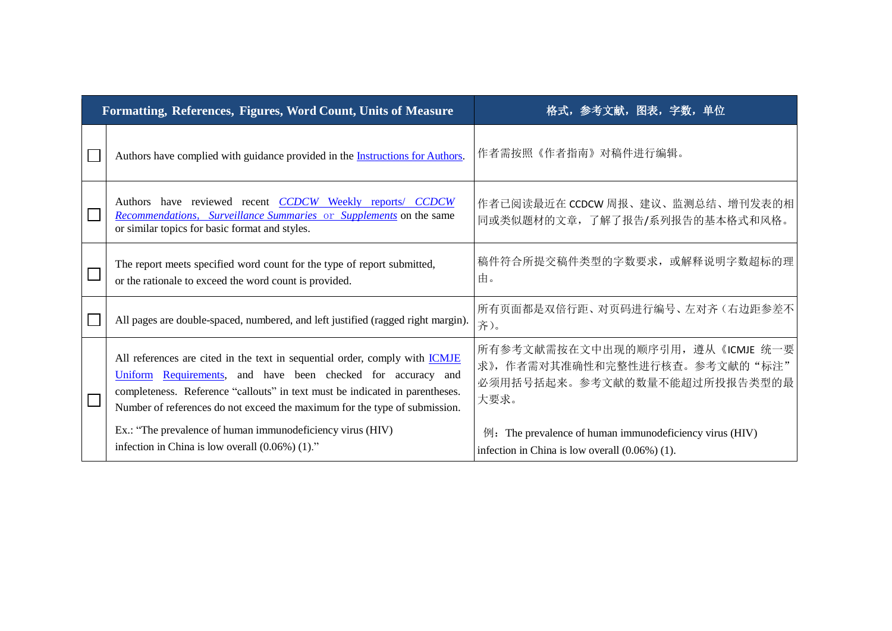| Formatting, References, Figures, Word Count, Units of Measure |                                                                                                                                                                                                                                                                                                                  | 格式, 参考文献, 图表, 字数, 单位                                                                                                      |
|---------------------------------------------------------------|------------------------------------------------------------------------------------------------------------------------------------------------------------------------------------------------------------------------------------------------------------------------------------------------------------------|---------------------------------------------------------------------------------------------------------------------------|
|                                                               | Authors have complied with guidance provided in the <i>Instructions</i> for Authors.                                                                                                                                                                                                                             | 作者需按照《作者指南》对稿件进行编辑。                                                                                                       |
|                                                               | Authors have reviewed recent CCDCW Weekly reports/ CCDCW<br>Recommendations, Surveillance Summaries or Supplements on the same<br>or similar topics for basic format and styles.                                                                                                                                 | 作者已阅读最近在 CCDCW 周报、建议、监测总结、增刊发表的相<br>同或类似题材的文章, 了解了报告/系列报告的基本格式和风格。                                                        |
|                                                               | The report meets specified word count for the type of report submitted,<br>or the rationale to exceed the word count is provided.                                                                                                                                                                                | 稿件符合所提交稿件类型的字数要求, 或解释说明字数超标的理<br>由。                                                                                       |
|                                                               | All pages are double-spaced, numbered, and left justified (ragged right margin).                                                                                                                                                                                                                                 | 所有页面都是双倍行距、对页码进行编号、左对齐(右边距参差不<br>齐)。                                                                                      |
|                                                               | All references are cited in the text in sequential order, comply with <b>ICMJE</b><br>Uniform Requirements, and have been checked for accuracy and<br>completeness. Reference "callouts" in text must be indicated in parentheses.<br>Number of references do not exceed the maximum for the type of submission. | 所有参考文献需按在文中出现的顺序引用, 遵从《ICMJE 统一要<br>求》,作者需对其准确性和完整性进行核查。参考文献的"标注"<br>必须用括号括起来。参考文献的数量不能超过所投报告类型的最<br>大要求。                 |
|                                                               | Ex.: "The prevalence of human immunodeficiency virus (HIV)<br>infection in China is low overall $(0.06\%)$ (1)."                                                                                                                                                                                                 | $\mathcal{D}$ : The prevalence of human immunodeficiency virus (HIV)<br>infection in China is low overall $(0.06\%)$ (1). |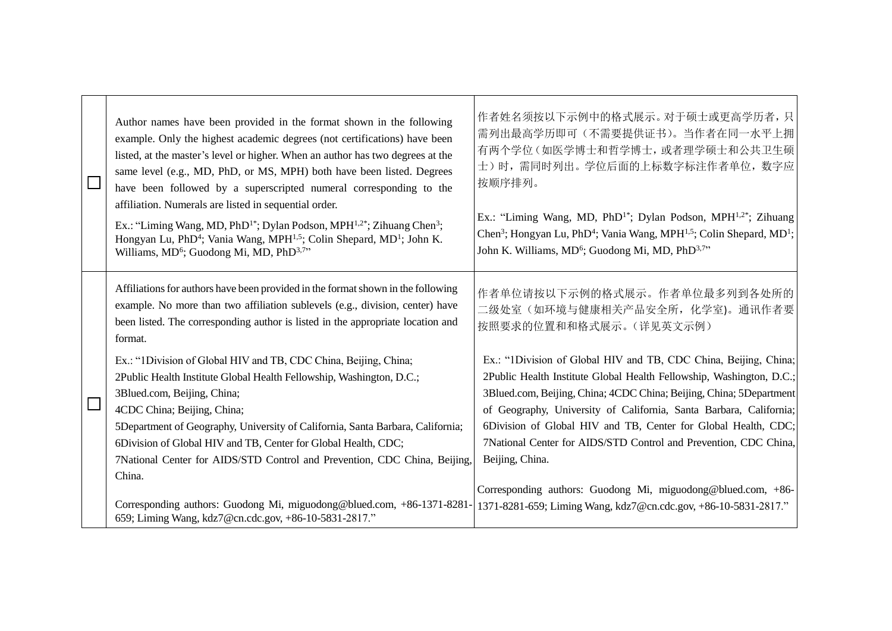|  | Author names have been provided in the format shown in the following<br>example. Only the highest academic degrees (not certifications) have been<br>listed, at the master's level or higher. When an author has two degrees at the<br>same level (e.g., MD, PhD, or MS, MPH) both have been listed. Degrees<br>have been followed by a superscripted numeral corresponding to the<br>affiliation. Numerals are listed in sequential order.<br>Ex.: "Liming Wang, MD, PhD <sup>1*</sup> ; Dylan Podson, MPH <sup>1,2*</sup> ; Zihuang Chen <sup>3</sup> ;<br>Hongyan Lu, PhD <sup>4</sup> ; Vania Wang, MPH <sup>1,5</sup> ; Colin Shepard, MD <sup>1</sup> ; John K.<br>Williams, MD <sup>6</sup> ; Guodong Mi, MD, PhD <sup>3,7</sup> " | 作者姓名须按以下示例中的格式展示。对于硕士或更高学历者, 只<br>需列出最高学历即可(不需要提供证书)。当作者在同一水平上拥<br>有两个学位(如医学博士和哲学博士,或者理学硕士和公共卫生硕<br>士)时,需同时列出。学位后面的上标数字标注作者单位, 数字应<br>按顺序排列。<br>Ex.: "Liming Wang, MD, PhD <sup>1*</sup> ; Dylan Podson, MPH <sup>1,2*</sup> ; Zihuang<br>Chen <sup>3</sup> ; Hongyan Lu, PhD <sup>4</sup> ; Vania Wang, MPH <sup>1,5</sup> ; Colin Shepard, MD <sup>1</sup> ;<br>John K. Williams, MD <sup>6</sup> ; Guodong Mi, MD, PhD <sup>3,7</sup> "                                                                                                 |
|--|-------------------------------------------------------------------------------------------------------------------------------------------------------------------------------------------------------------------------------------------------------------------------------------------------------------------------------------------------------------------------------------------------------------------------------------------------------------------------------------------------------------------------------------------------------------------------------------------------------------------------------------------------------------------------------------------------------------------------------------------|--------------------------------------------------------------------------------------------------------------------------------------------------------------------------------------------------------------------------------------------------------------------------------------------------------------------------------------------------------------------------------------------------------------------------------------------------------------------------------------------------------------------------------------------|
|  | Affiliations for authors have been provided in the format shown in the following<br>example. No more than two affiliation sublevels (e.g., division, center) have<br>been listed. The corresponding author is listed in the appropriate location and<br>format.<br>Ex.: "1Division of Global HIV and TB, CDC China, Beijing, China;<br>2Public Health Institute Global Health Fellowship, Washington, D.C.;<br>3Blued.com, Beijing, China;<br>4CDC China; Beijing, China;<br>5Department of Geography, University of California, Santa Barbara, California;<br>6Division of Global HIV and TB, Center for Global Health, CDC;<br>7National Center for AIDS/STD Control and Prevention, CDC China, Beijing,<br>China.                      | 作者单位请按以下示例的格式展示。作者单位最多列到各处所的<br>二级处室(如环境与健康相关产品安全所, 化学室)。通讯作者要<br>按照要求的位置和和格式展示。(详见英文示例)<br>Ex.: "1Division of Global HIV and TB, CDC China, Beijing, China;<br>2Public Health Institute Global Health Fellowship, Washington, D.C.;<br>3Blued.com, Beijing, China; 4CDC China; Beijing, China; 5Department<br>of Geography, University of California, Santa Barbara, California;<br>6Division of Global HIV and TB, Center for Global Health, CDC;<br>7National Center for AIDS/STD Control and Prevention, CDC China,<br>Beijing, China. |
|  | Corresponding authors: Guodong Mi, miguodong@blued.com, +86-1371-8281-<br>659; Liming Wang, kdz7@cn.cdc.gov, +86-10-5831-2817."                                                                                                                                                                                                                                                                                                                                                                                                                                                                                                                                                                                                           | Corresponding authors: Guodong Mi, miguodong@blued.com, +86-<br>1371-8281-659; Liming Wang, kdz7@cn.cdc.gov, +86-10-5831-2817."                                                                                                                                                                                                                                                                                                                                                                                                            |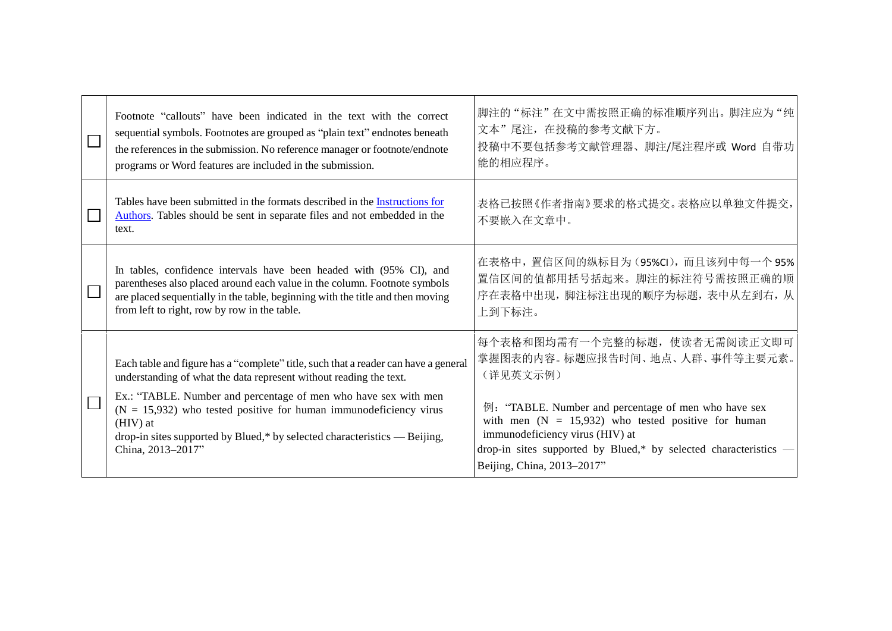|  | Footnote "callouts" have been indicated in the text with the correct<br>sequential symbols. Footnotes are grouped as "plain text" endnotes beneath<br>the references in the submission. No reference manager or footnote/endnote<br>programs or Word features are included in the submission.                                                                                                                     | 脚注的"标注"在文中需按照正确的标准顺序列出。脚注应为"纯<br>文本"尾注, 在投稿的参考文献下方。<br>投稿中不要包括参考文献管理器、脚注/尾注程序或 Word 自带功<br>能的相应程序。                                                                                                                                                                                                                                |
|--|-------------------------------------------------------------------------------------------------------------------------------------------------------------------------------------------------------------------------------------------------------------------------------------------------------------------------------------------------------------------------------------------------------------------|-----------------------------------------------------------------------------------------------------------------------------------------------------------------------------------------------------------------------------------------------------------------------------------------------------------------------------------|
|  | Tables have been submitted in the formats described in the Instructions for<br>Authors. Tables should be sent in separate files and not embedded in the<br>text.                                                                                                                                                                                                                                                  | 表格已按照《作者指南》要求的格式提交。表格应以单独文件提交,<br>不要嵌入在文章中。                                                                                                                                                                                                                                                                                       |
|  | In tables, confidence intervals have been headed with (95% CI), and<br>parentheses also placed around each value in the column. Footnote symbols<br>are placed sequentially in the table, beginning with the title and then moving<br>from left to right, row by row in the table.                                                                                                                                | 在表格中, 置信区间的纵标目为(95%CI), 而且该列中每一个95%<br>置信区间的值都用括号括起来。脚注的标注符号需按照正确的顺<br>序在表格中出现, 脚注标注出现的顺序为标题, 表中从左到右, 从<br>上到下标注。                                                                                                                                                                                                                 |
|  | Each table and figure has a "complete" title, such that a reader can have a general<br>understanding of what the data represent without reading the text.<br>Ex.: "TABLE. Number and percentage of men who have sex with men<br>$(N = 15,932)$ who tested positive for human immunodeficiency virus<br>(HIV) at<br>drop-in sites supported by Blued,* by selected characteristics — Beijing,<br>China, 2013-2017" | 每个表格和图均需有一个完整的标题, 使读者无需阅读正文即可<br>掌握图表的内容。标题应报告时间、地点、人群、事件等主要元素。<br>(详见英文示例)<br>例: "TABLE. Number and percentage of men who have sex<br>with men $(N = 15,932)$ who tested positive for human<br>immunodeficiency virus (HIV) at<br>drop-in sites supported by Blued,* by selected characteristics —<br>Beijing, China, 2013-2017" |